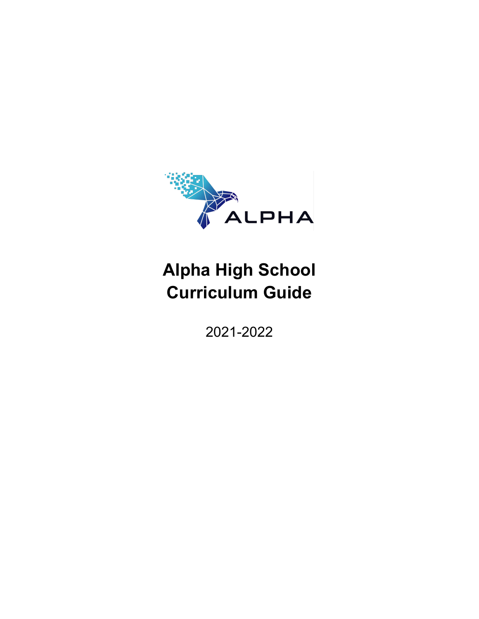

# **Alpha High School Curriculum Guide**

2021-2022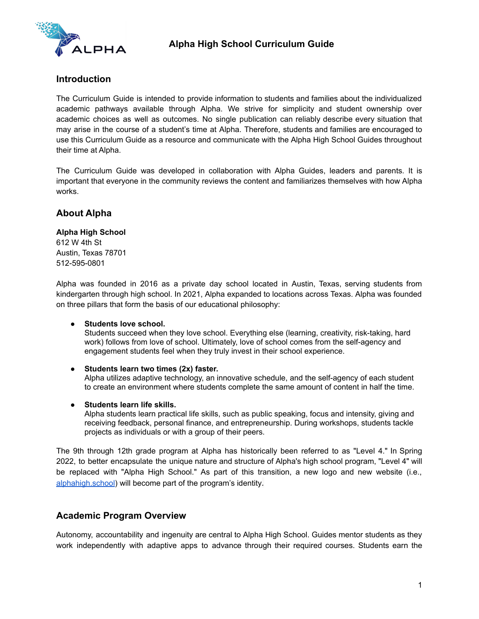

#### **Introduction**

The Curriculum Guide is intended to provide information to students and families about the individualized academic pathways available through Alpha. We strive for simplicity and student ownership over academic choices as well as outcomes. No single publication can reliably describe every situation that may arise in the course of a student's time at Alpha. Therefore, students and families are encouraged to use this Curriculum Guide as a resource and communicate with the Alpha High School Guides throughout their time at Alpha.

The Curriculum Guide was developed in collaboration with Alpha Guides, leaders and parents. It is important that everyone in the community reviews the content and familiarizes themselves with how Alpha works.

# **About Alpha**

#### **Alpha High School**

612 W 4th St Austin, Texas 78701 512-595-0801

Alpha was founded in 2016 as a private day school located in Austin, Texas, serving students from kindergarten through high school. In 2021, Alpha expanded to locations across Texas. Alpha was founded on three pillars that form the basis of our educational philosophy:

#### **● Students love school.**

Students succeed when they love school. Everything else (learning, creativity, risk-taking, hard work) follows from love of school. Ultimately, love of school comes from the self-agency and engagement students feel when they truly invest in their school experience.

#### **● Students learn two times (2x) faster.**

Alpha utilizes adaptive technology, an innovative schedule, and the self-agency of each student to create an environment where students complete the same amount of content in half the time.

**● Students learn life skills.**

Alpha students learn practical life skills, such as public speaking, focus and intensity, giving and receiving feedback, personal finance, and entrepreneurship. During workshops, students tackle projects as individuals or with a group of their peers.

The 9th through 12th grade program at Alpha has historically been referred to as "Level 4." In Spring 2022, to better encapsulate the unique nature and structure of Alpha's high school program, "Level 4" will be replaced with "Alpha High School." As part of this transition, a new logo and new website (i.e., [alphahigh.school](http://www.alphahigh.school)) will become part of the program's identity*.*

#### **Academic Program Overview**

Autonomy, accountability and ingenuity are central to Alpha High School. Guides mentor students as they work independently with adaptive apps to advance through their required courses. Students earn the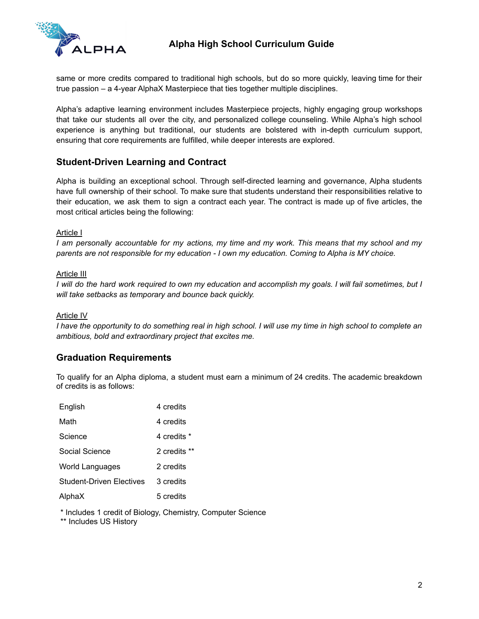

same or more credits compared to traditional high schools, but do so more quickly, leaving time for their true passion – a 4-year AlphaX Masterpiece that ties together multiple disciplines.

Alpha's adaptive learning environment includes Masterpiece projects, highly engaging group workshops that take our students all over the city, and personalized college counseling. While Alpha's high school experience is anything but traditional, our students are bolstered with in-depth curriculum support, ensuring that core requirements are fulfilled, while deeper interests are explored.

# **Student-Driven Learning and Contract**

Alpha is building an exceptional school. Through self-directed learning and governance, Alpha students have full ownership of their school. To make sure that students understand their responsibilities relative to their education, we ask them to sign a contract each year. The contract is made up of five articles, the most critical articles being the following:

#### Article I

I am personally accountable for my actions, my time and my work. This means that my school and my *parents are not responsible for my education - I own my education. Coming to Alpha is MY choice.*

#### Article III

I will do the hard work required to own my education and accomplish my goals. I will fail sometimes, but I *will take setbacks as temporary and bounce back quickly.*

#### Article IV

I have the opportunity to do something real in high school. I will use my time in high school to complete an *ambitious, bold and extraordinary project that excites me.*

# **Graduation Requirements**

To qualify for an Alpha diploma, a student must earn a minimum of 24 credits. The academic breakdown of credits is as follows:

| English                  | 4 credits    |
|--------------------------|--------------|
| Math                     | 4 credits    |
| Science                  | 4 credits *  |
| Social Science           | 2 credits ** |
| World Languages          | 2 credits    |
| Student-Driven Electives | 3 credits    |
| AlphaX                   | 5 credits    |

\* Includes 1 credit of Biology, Chemistry, Computer Science

\*\* Includes US History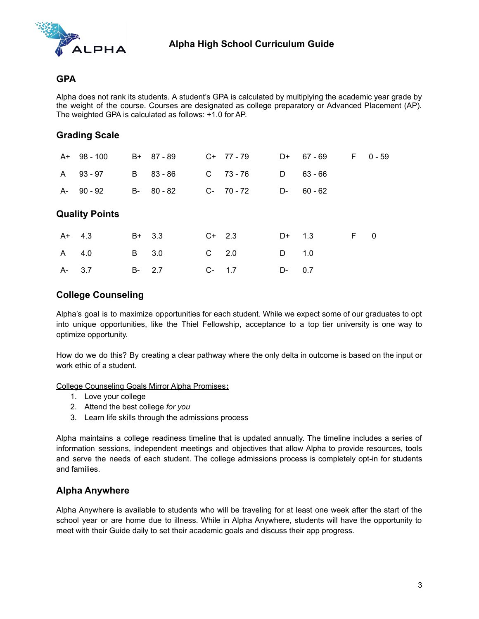

#### **GPA**

Alpha does not rank its students. A student's GPA is calculated by multiplying the academic year grade by the weight of the course. Courses are designated as college preparatory or Advanced Placement (AP). The weighted GPA is calculated as follows: +1.0 for AP.

# **Grading Scale**

|    | $A+ 98-100$           |    | B+ 87-89  |    | $C+ 77 - 79$ | D+       | 67 - 69   | F. | 0 - 59                   |
|----|-----------------------|----|-----------|----|--------------|----------|-----------|----|--------------------------|
| A  | $93 - 97$             | B  | $83 - 86$ | C  | 73 - 76      | D        | $63 - 66$ |    |                          |
| A- | 90 - 92               | B- | $80 - 82$ |    | $C-70-72$    | D-       | $60 - 62$ |    |                          |
|    | <b>Quality Points</b> |    |           |    |              |          |           |    |                          |
|    | $A+ 4.3$              |    | $B+ 3.3$  |    | $C+2.3$      | $D+$ 1.3 |           | F. | $\overline{\phantom{0}}$ |
| A  | 4.0                   | B  | 3.0       | C  | 2.0          | D        | 1.0       |    |                          |
| A- | 3.7                   | B- | 2.7       | C- | 1.7          | D-       | 0.7       |    |                          |

# **College Counseling**

Alpha's goal is to maximize opportunities for each student. While we expect some of our graduates to opt into unique opportunities, like the Thiel Fellowship, acceptance to a top tier university is one way to optimize opportunity.

How do we do this? By creating a clear pathway where the only delta in outcome is based on the input or work ethic of a student.

College Counseling Goals Mirror Alpha Promises**:**

- 1. Love your college
- 2. Attend the best college *for you*
- 3. Learn life skills through the admissions process

Alpha maintains a college readiness timeline that is updated annually. The timeline includes a series of information sessions, independent meetings and objectives that allow Alpha to provide resources, tools and serve the needs of each student. The college admissions process is completely opt-in for students and families.

#### **Alpha Anywhere**

Alpha Anywhere is available to students who will be traveling for at least one week after the start of the school year or are home due to illness. While in Alpha Anywhere, students will have the opportunity to meet with their Guide daily to set their academic goals and discuss their app progress.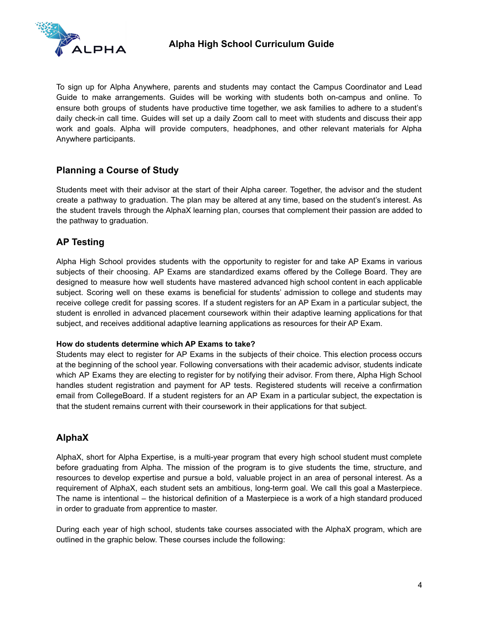

To sign up for Alpha Anywhere, parents and students may contact the Campus Coordinator and Lead Guide to make arrangements. Guides will be working with students both on-campus and online. To ensure both groups of students have productive time together, we ask families to adhere to a student's daily check-in call time. Guides will set up a daily Zoom call to meet with students and discuss their app work and goals. Alpha will provide computers, headphones, and other relevant materials for Alpha Anywhere participants.

# **Planning a Course of Study**

Students meet with their advisor at the start of their Alpha career. Together, the advisor and the student create a pathway to graduation. The plan may be altered at any time, based on the student's interest. As the student travels through the AlphaX learning plan, courses that complement their passion are added to the pathway to graduation.

# **AP Testing**

Alpha High School provides students with the opportunity to register for and take AP Exams in various subjects of their choosing. AP Exams are standardized exams offered by the College Board. They are designed to measure how well students have mastered advanced high school content in each applicable subject. Scoring well on these exams is beneficial for students' admission to college and students may receive college credit for passing scores. If a student registers for an AP Exam in a particular subject, the student is enrolled in advanced placement coursework within their adaptive learning applications for that subject, and receives additional adaptive learning applications as resources for their AP Exam.

#### **How do students determine which AP Exams to take?**

Students may elect to register for AP Exams in the subjects of their choice. This election process occurs at the beginning of the school year. Following conversations with their academic advisor, students indicate which AP Exams they are electing to register for by notifying their advisor. From there, Alpha High School handles student registration and payment for AP tests. Registered students will receive a confirmation email from CollegeBoard. If a student registers for an AP Exam in a particular subject, the expectation is that the student remains current with their coursework in their applications for that subject.

# **AlphaX**

AlphaX, short for Alpha Expertise, is a multi-year program that every high school student must complete before graduating from Alpha. The mission of the program is to give students the time, structure, and resources to develop expertise and pursue a bold, valuable project in an area of personal interest. As a requirement of AlphaX, each student sets an ambitious, long-term goal. We call this goal a Masterpiece. The name is intentional – the historical definition of a Masterpiece is a work of a high standard produced in order to graduate from apprentice to master.

During each year of high school, students take courses associated with the AlphaX program, which are outlined in the graphic below. These courses include the following: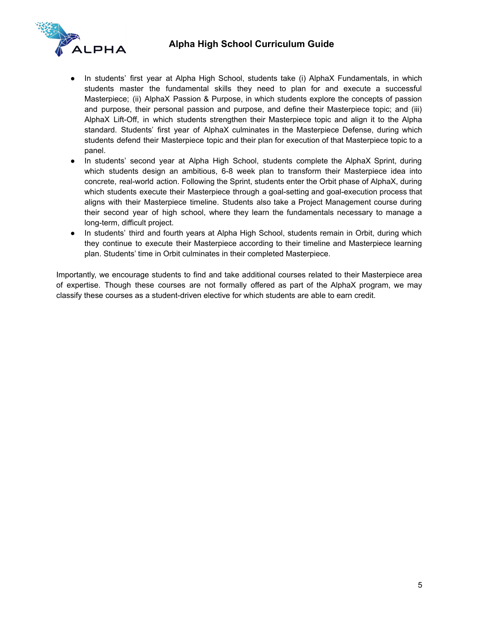# **Alpha High School Curriculum Guide**



- In students' first year at Alpha High School, students take (i) AlphaX Fundamentals, in which students master the fundamental skills they need to plan for and execute a successful Masterpiece; (ii) AlphaX Passion & Purpose, in which students explore the concepts of passion and purpose, their personal passion and purpose, and define their Masterpiece topic; and (iii) AlphaX Lift-Off, in which students strengthen their Masterpiece topic and align it to the Alpha standard. Students' first year of AlphaX culminates in the Masterpiece Defense, during which students defend their Masterpiece topic and their plan for execution of that Masterpiece topic to a panel.
- In students' second year at Alpha High School, students complete the AlphaX Sprint, during which students design an ambitious, 6-8 week plan to transform their Masterpiece idea into concrete, real-world action. Following the Sprint, students enter the Orbit phase of AlphaX, during which students execute their Masterpiece through a goal-setting and goal-execution process that aligns with their Masterpiece timeline. Students also take a Project Management course during their second year of high school, where they learn the fundamentals necessary to manage a long-term, difficult project.
- In students' third and fourth years at Alpha High School, students remain in Orbit, during which they continue to execute their Masterpiece according to their timeline and Masterpiece learning plan. Students' time in Orbit culminates in their completed Masterpiece.

Importantly, we encourage students to find and take additional courses related to their Masterpiece area of expertise. Though these courses are not formally offered as part of the AlphaX program, we may classify these courses as a student-driven elective for which students are able to earn credit.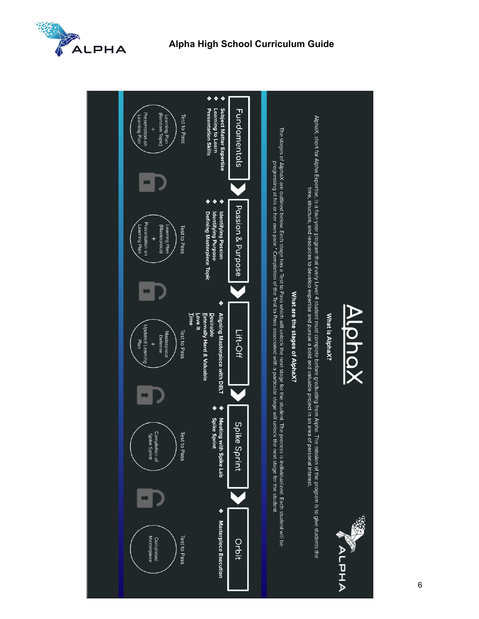

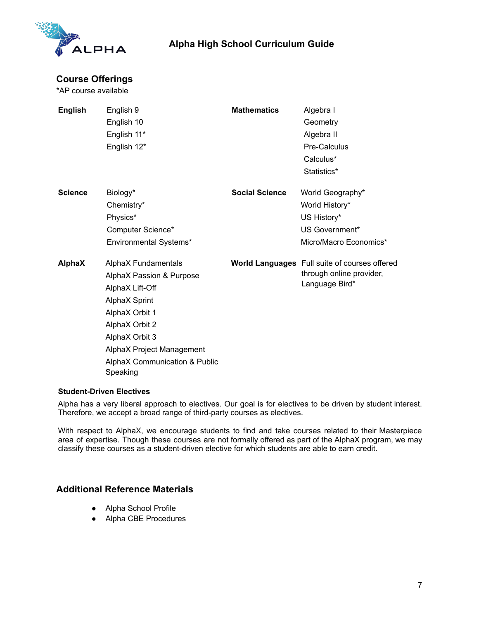

# **Alpha High School Curriculum Guide**

# **Course Offerings**

\*AP course available

| English        | English 9<br>English 10<br>English 11*<br>English 12*                                                                                                                                                                                 | <b>Mathematics</b>    | Algebra I<br>Geometry<br>Algebra II<br>Pre-Calculus<br>Calculus*<br>Statistics*                    |
|----------------|---------------------------------------------------------------------------------------------------------------------------------------------------------------------------------------------------------------------------------------|-----------------------|----------------------------------------------------------------------------------------------------|
| <b>Science</b> | Biology*<br>Chemistry*<br>Physics*<br>Computer Science*<br>Environmental Systems*                                                                                                                                                     | <b>Social Science</b> | World Geography*<br>World History*<br>US History*<br>US Government*<br>Micro/Macro Economics*      |
| <b>AlphaX</b>  | AlphaX Fundamentals<br>AlphaX Passion & Purpose<br>AlphaX Lift-Off<br><b>AlphaX Sprint</b><br>AlphaX Orbit 1<br>AlphaX Orbit 2<br>AlphaX Orbit 3<br>AlphaX Project Management<br><b>AlphaX Communication &amp; Public</b><br>Speaking |                       | <b>World Languages</b> Full suite of courses offered<br>through online provider,<br>Language Bird* |

#### **Student-Driven Electives**

Alpha has a very liberal approach to electives. Our goal is for electives to be driven by student interest. Therefore, we accept a broad range of third-party courses as electives.

With respect to AlphaX, we encourage students to find and take courses related to their Masterpiece area of expertise. Though these courses are not formally offered as part of the AlphaX program, we may classify these courses as a student-driven elective for which students are able to earn credit.

# **Additional Reference Materials**

- Alpha School Profile
- Alpha CBE Procedures